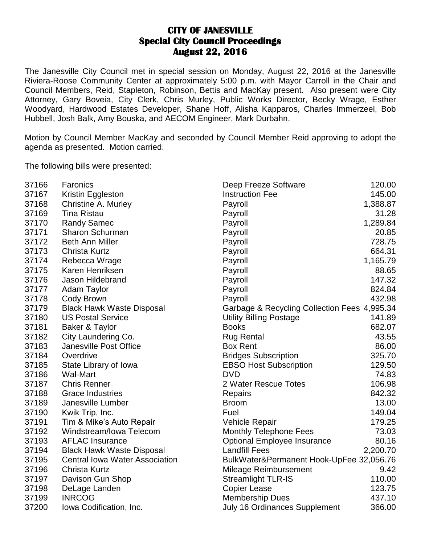## **CITY OF JANESVILLE Special City Council Proceedings August 22, 2016**

The Janesville City Council met in special session on Monday, August 22, 2016 at the Janesville Riviera-Roose Community Center at approximately 5:00 p.m. with Mayor Carroll in the Chair and Council Members, Reid, Stapleton, Robinson, Bettis and MacKay present. Also present were City Attorney, Gary Boveia, City Clerk, Chris Murley, Public Works Director, Becky Wrage, Esther Woodyard, Hardwood Estates Developer, Shane Hoff, Alisha Kapparos, Charles Immerzeel, Bob Hubbell, Josh Balk, Amy Bouska, and AECOM Engineer, Mark Durbahn.

Motion by Council Member MacKay and seconded by Council Member Reid approving to adopt the agenda as presented. Motion carried.

The following bills were presented:

| 37166 | Faronics                              | Deep Freeze Software                         | 120.00   |
|-------|---------------------------------------|----------------------------------------------|----------|
| 37167 | Kristin Eggleston                     | <b>Instruction Fee</b>                       | 145.00   |
| 37168 | Christine A. Murley                   | Payroll                                      | 1,388.87 |
| 37169 | <b>Tina Ristau</b>                    | Payroll                                      | 31.28    |
| 37170 | <b>Randy Samec</b>                    | Payroll                                      | 1,289.84 |
| 37171 | <b>Sharon Schurman</b>                | Payroll                                      | 20.85    |
| 37172 | <b>Beth Ann Miller</b>                | Payroll                                      | 728.75   |
| 37173 | <b>Christa Kurtz</b>                  | Payroll                                      | 664.31   |
| 37174 | Rebecca Wrage                         | Payroll                                      | 1,165.79 |
| 37175 | Karen Henriksen                       | Payroll                                      | 88.65    |
| 37176 | Jason Hildebrand                      | Payroll                                      | 147.32   |
| 37177 | <b>Adam Taylor</b>                    | Payroll                                      | 824.84   |
| 37178 | Cody Brown                            | Payroll                                      | 432.98   |
| 37179 | <b>Black Hawk Waste Disposal</b>      | Garbage & Recycling Collection Fees 4,995.34 |          |
| 37180 | <b>US Postal Service</b>              | <b>Utility Billing Postage</b>               | 141.89   |
| 37181 | Baker & Taylor                        | <b>Books</b>                                 | 682.07   |
| 37182 | City Laundering Co.                   | <b>Rug Rental</b>                            | 43.55    |
| 37183 | Janesville Post Office                | <b>Box Rent</b>                              | 86.00    |
| 37184 | Overdrive                             | <b>Bridges Subscription</b>                  | 325.70   |
| 37185 | State Library of Iowa                 | <b>EBSO Host Subscription</b>                | 129.50   |
| 37186 | <b>Wal-Mart</b>                       | <b>DVD</b>                                   | 74.83    |
| 37187 | <b>Chris Renner</b>                   | 2 Water Rescue Totes                         | 106.98   |
| 37188 | <b>Grace Industries</b>               | Repairs                                      | 842.32   |
| 37189 | Janesville Lumber                     | <b>Broom</b>                                 | 13.00    |
| 37190 | Kwik Trip, Inc.                       | Fuel                                         | 149.04   |
| 37191 | Tim & Mike's Auto Repair              | Vehicle Repair                               | 179.25   |
| 37192 | Windstream/Iowa Telecom               | <b>Monthly Telephone Fees</b>                | 73.03    |
| 37193 | <b>AFLAC Insurance</b>                | Optional Employee Insurance                  | 80.16    |
| 37194 | <b>Black Hawk Waste Disposal</b>      | <b>Landfill Fees</b>                         | 2,200.70 |
| 37195 | <b>Central Iowa Water Association</b> | BulkWater&Permanent Hook-UpFee 32,056.76     |          |
| 37196 | <b>Christa Kurtz</b>                  | Mileage Reimbursement                        | 9.42     |
| 37197 | Davison Gun Shop                      | <b>Streamlight TLR-IS</b>                    | 110.00   |
| 37198 | DeLage Landen                         | <b>Copier Lease</b>                          | 123.75   |
| 37199 | <b>INRCOG</b>                         | <b>Membership Dues</b>                       | 437.10   |
| 37200 | Iowa Codification, Inc.               | <b>July 16 Ordinances Supplement</b>         | 366.00   |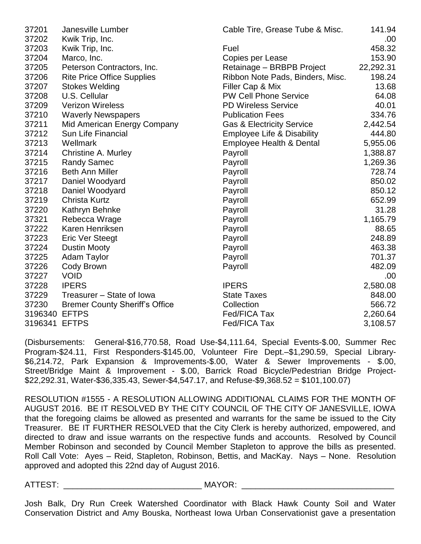| 37201         | Janesville Lumber                     | Cable Tire, Grease Tube & Misc.       | 141.94    |
|---------------|---------------------------------------|---------------------------------------|-----------|
| 37202         | Kwik Trip, Inc.                       |                                       | .00.      |
| 37203         | Kwik Trip, Inc.                       | Fuel                                  | 458.32    |
| 37204         | Marco, Inc.                           | Copies per Lease                      | 153.90    |
| 37205         | Peterson Contractors, Inc.            | Retainage - BRBPB Project             | 22,292.31 |
| 37206         | <b>Rite Price Office Supplies</b>     | Ribbon Note Pads, Binders, Misc.      | 198.24    |
| 37207         | <b>Stokes Welding</b>                 | Filler Cap & Mix                      | 13.68     |
| 37208         | U.S. Cellular                         | <b>PW Cell Phone Service</b>          | 64.08     |
| 37209         | <b>Verizon Wireless</b>               | <b>PD Wireless Service</b>            | 40.01     |
| 37210         | <b>Waverly Newspapers</b>             | <b>Publication Fees</b>               | 334.76    |
| 37211         | Mid American Energy Company           | <b>Gas &amp; Electricity Service</b>  | 2,442.54  |
| 37212         | <b>Sun Life Financial</b>             | <b>Employee Life &amp; Disability</b> | 444.80    |
| 37213         | Wellmark                              | Employee Health & Dental              | 5,955.06  |
| 37214         | <b>Christine A. Murley</b>            | Payroll                               | 1,388.87  |
| 37215         | <b>Randy Samec</b>                    | Payroll                               | 1,269.36  |
| 37216         | <b>Beth Ann Miller</b>                | Payroll                               | 728.74    |
| 37217         | Daniel Woodyard                       | Payroll                               | 850.02    |
| 37218         | Daniel Woodyard                       | Payroll                               | 850.12    |
| 37219         | <b>Christa Kurtz</b>                  | Payroll                               | 652.99    |
| 37220         | Kathryn Behnke                        | Payroll                               | 31.28     |
| 37321         | Rebecca Wrage                         | Payroll                               | 1,165.79  |
| 37222         | Karen Henriksen                       | Payroll                               | 88.65     |
| 37223         | Eric Ver Steegt                       | Payroll                               | 248.89    |
| 37224         | <b>Dustin Mooty</b>                   | Payroll                               | 463.38    |
| 37225         | <b>Adam Taylor</b>                    | Payroll                               | 701.37    |
| 37226         | Cody Brown                            | Payroll                               | 482.09    |
| 37227         | <b>VOID</b>                           |                                       | .00.      |
| 37228         | <b>IPERS</b>                          | <b>IPERS</b>                          | 2,580.08  |
| 37229         | Treasurer - State of Iowa             | <b>State Taxes</b>                    | 848.00    |
| 37230         | <b>Bremer County Sheriff's Office</b> | Collection                            | 566.72    |
| 3196340       | <b>EFTPS</b>                          | Fed/FICA Tax                          | 2,260.64  |
| 3196341 EFTPS |                                       | Fed/FICA Tax                          | 3,108.57  |

(Disbursements: General-\$16,770.58, Road Use-\$4,111.64, Special Events-\$.00, Summer Rec Program-\$24.11, First Responders-\$145.00, Volunteer Fire Dept.–\$1,290.59, Special Library- \$6,214.72, Park Expansion & Improvements-\$.00, Water & Sewer Improvements - \$.00, Street/Bridge Maint & Improvement - \$.00, Barrick Road Bicycle/Pedestrian Bridge Project- \$22,292.31, Water-\$36,335.43, Sewer-\$4,547.17, and Refuse-\$9,368.52 = \$101,100.07)

RESOLUTION #1555 - A RESOLUTION ALLOWING ADDITIONAL CLAIMS FOR THE MONTH OF AUGUST 2016. BE IT RESOLVED BY THE CITY COUNCIL OF THE CITY OF JANESVILLE, IOWA that the foregoing claims be allowed as presented and warrants for the same be issued to the City Treasurer. BE IT FURTHER RESOLVED that the City Clerk is hereby authorized, empowered, and directed to draw and issue warrants on the respective funds and accounts. Resolved by Council Member Robinson and seconded by Council Member Stapleton to approve the bills as presented. Roll Call Vote: Ayes – Reid, Stapleton, Robinson, Bettis, and MacKay. Nays – None. Resolution approved and adopted this 22nd day of August 2016.

## ATTEST: \_\_\_\_\_\_\_\_\_\_\_\_\_\_\_\_\_\_\_\_\_\_\_\_\_\_\_\_\_\_ MAYOR: \_\_\_\_\_\_\_\_\_\_\_\_\_\_\_\_\_\_\_\_\_\_\_\_\_\_\_\_\_\_\_\_\_

Josh Balk, Dry Run Creek Watershed Coordinator with Black Hawk County Soil and Water Conservation District and Amy Bouska, Northeast Iowa Urban Conservationist gave a presentation